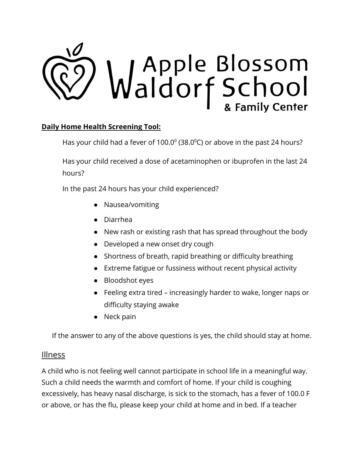

## **Daily Home Health Screening Tool:**

Has your child had a fever of 100.0 $^{\circ}$  (38.0 $^{\circ}$ C) or above in the past 24 hours?

Has your child received a dose of acetaminophen or ibuprofen in the last 24 hours?

In the past 24 hours has your child experienced?

- Nausea/vomiting
- Diarrhea
- New rash or existing rash that has spread throughout the body
- Developed a new onset dry cough
- Shortness of breath, rapid breathing or difficulty breathing
- Extreme fatigue or fussiness without recent physical activity
- Bloodshot eyes
- Feeling extra tired increasingly harder to wake, longer naps or difficulty staying awake
- Neck pain

If the answer to any of the above questions is yes, the child should stay at home.

## Illness

A child who is not feeling well cannot participate in school life in a meaningful way. Such a child needs the warmth and comfort of home. If your child is coughing excessively, has heavy nasal discharge, is sick to the stomach, has a fever of 100.0 F or above, or has the flu, please keep your child at home and in bed. If a teacher